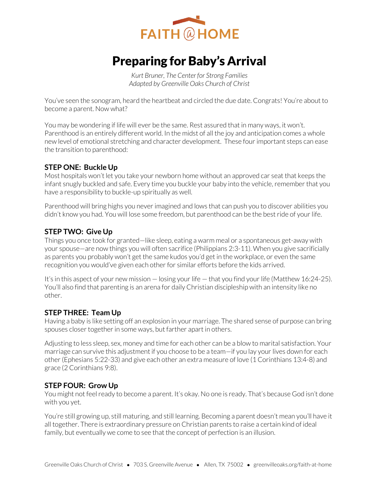

# Preparing for Baby's Arrival

*Kurt Bruner, The Center for Strong Families Adapted by Greenville Oaks Church of Christ* 

You've seen the sonogram, heard the heartbeat and circled the due date. Congrats! You're about to become a parent. Now what?

You may be wondering if life will ever be the same. Rest assured that in many ways, it won't. Parenthood is an entirely different world. In the midst of all the joy and anticipation comes a whole new level of emotional stretching and character development. These four important steps can ease the transition to parenthood:

## **STEP ONE: Buckle Up**

Most hospitals won't let you take your newborn home without an approved car seat that keeps the infant snugly buckled and safe. Every time you buckle your baby into the vehicle, remember that you have a responsibility to buckle-up spiritually as well.

Parenthood will bring highs you never imagined and lows that can push you to discover abilities you didn't know you had. You will lose some freedom, but parenthood can be the best ride of your life.

## **STEP TWO: Give Up**

Things you once took for granted—like sleep, eating a warm meal or a spontaneous get-away with your spouse—are now things you will often sacrifice (Philippians 2:3-11). When you give sacrificially as parents you probably won't get the same kudos you'd get in the workplace, or even the same recognition you would've given each other for similar efforts before the kids arrived.

It's in this aspect of your new mission — losing your life — that you find your life (Matthew 16:24-25). You'll also find that parenting is an arena for daily Christian discipleship with an intensity like no other.

## **STEP THREE: Team Up**

Having a baby is like setting off an explosion in your marriage. The shared sense of purpose can bring spouses closer together in some ways, but farther apart in others.

Adjusting to less sleep, sex, money and time for each other can be a blow to marital satisfaction. Your marriage can survive this adjustment if you choose to be a team—if you lay your lives down for each other (Ephesians 5:22-33) and give each other an extra measure of love (1 Corinthians 13:4-8) and grace (2 Corinthians 9:8).

## **STEP FOUR: Grow Up**

You might not feel ready to become a parent. It's okay. No one is ready. That's because God isn't done with you yet.

You're still growing up, still maturing, and still learning. Becoming a parent doesn't mean you'll have it all together. There is extraordinary pressure on Christian parents to raise a certain kind of ideal family, but eventually we come to see that the concept of perfection is an illusion.